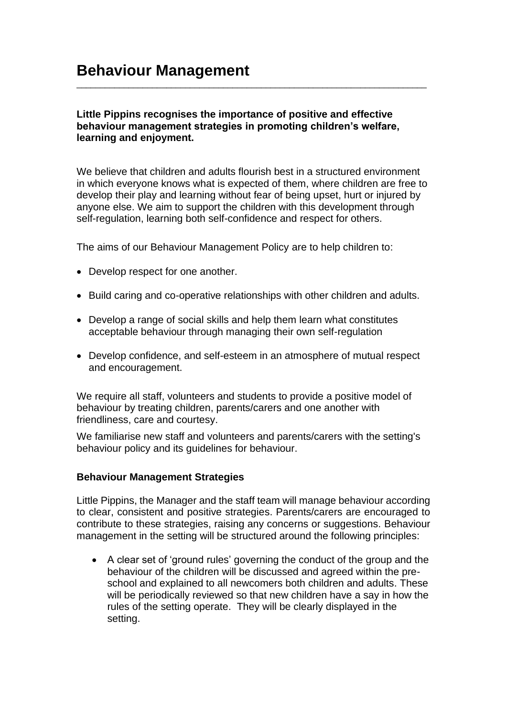## **Little Pippins recognises the importance of positive and effective behaviour management strategies in promoting children's welfare, learning and enjoyment.**

\_\_\_\_\_\_\_\_\_\_\_\_\_\_\_\_\_\_\_\_\_\_\_\_\_\_\_\_\_\_\_\_\_\_\_\_\_\_\_\_\_\_\_\_\_\_\_\_\_\_\_\_\_\_\_\_\_\_\_\_\_\_\_\_\_\_\_\_\_\_\_\_\_\_

We believe that children and adults flourish best in a structured environment in which everyone knows what is expected of them, where children are free to develop their play and learning without fear of being upset, hurt or injured by anyone else. We aim to support the children with this development through self-regulation, learning both self-confidence and respect for others.

The aims of our Behaviour Management Policy are to help children to:

- Develop respect for one another.
- Build caring and co-operative relationships with other children and adults.
- Develop a range of social skills and help them learn what constitutes acceptable behaviour through managing their own self-regulation
- Develop confidence, and self-esteem in an atmosphere of mutual respect and encouragement.

We require all staff, volunteers and students to provide a positive model of behaviour by treating children, parents/carers and one another with friendliness, care and courtesy.

We familiarise new staff and volunteers and parents/carers with the setting's behaviour policy and its guidelines for behaviour.

#### **Behaviour Management Strategies**

Little Pippins, the Manager and the staff team will manage behaviour according to clear, consistent and positive strategies. Parents/carers are encouraged to contribute to these strategies, raising any concerns or suggestions. Behaviour management in the setting will be structured around the following principles:

• A clear set of 'ground rules' governing the conduct of the group and the behaviour of the children will be discussed and agreed within the preschool and explained to all newcomers both children and adults. These will be periodically reviewed so that new children have a say in how the rules of the setting operate. They will be clearly displayed in the setting.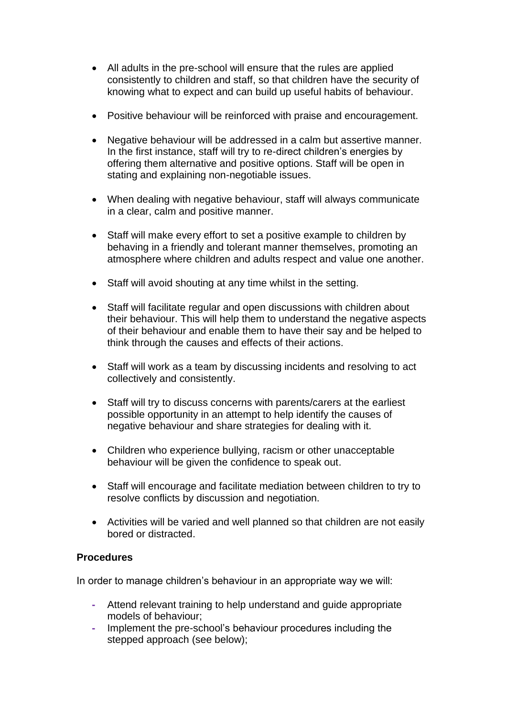- All adults in the pre-school will ensure that the rules are applied consistently to children and staff, so that children have the security of knowing what to expect and can build up useful habits of behaviour.
- Positive behaviour will be reinforced with praise and encouragement.
- Negative behaviour will be addressed in a calm but assertive manner. In the first instance, staff will try to re-direct children's energies by offering them alternative and positive options. Staff will be open in stating and explaining non-negotiable issues.
- When dealing with negative behaviour, staff will always communicate in a clear, calm and positive manner.
- Staff will make every effort to set a positive example to children by behaving in a friendly and tolerant manner themselves, promoting an atmosphere where children and adults respect and value one another.
- Staff will avoid shouting at any time whilst in the setting.
- Staff will facilitate regular and open discussions with children about their behaviour. This will help them to understand the negative aspects of their behaviour and enable them to have their say and be helped to think through the causes and effects of their actions.
- Staff will work as a team by discussing incidents and resolving to act collectively and consistently.
- Staff will try to discuss concerns with parents/carers at the earliest possible opportunity in an attempt to help identify the causes of negative behaviour and share strategies for dealing with it.
- Children who experience bullying, racism or other unacceptable behaviour will be given the confidence to speak out.
- Staff will encourage and facilitate mediation between children to try to resolve conflicts by discussion and negotiation.
- Activities will be varied and well planned so that children are not easily bored or distracted.

#### **Procedures**

In order to manage children's behaviour in an appropriate way we will:

- **-** Attend relevant training to help understand and guide appropriate models of behaviour;
- **-** Implement the pre-school's behaviour procedures including the stepped approach (see below);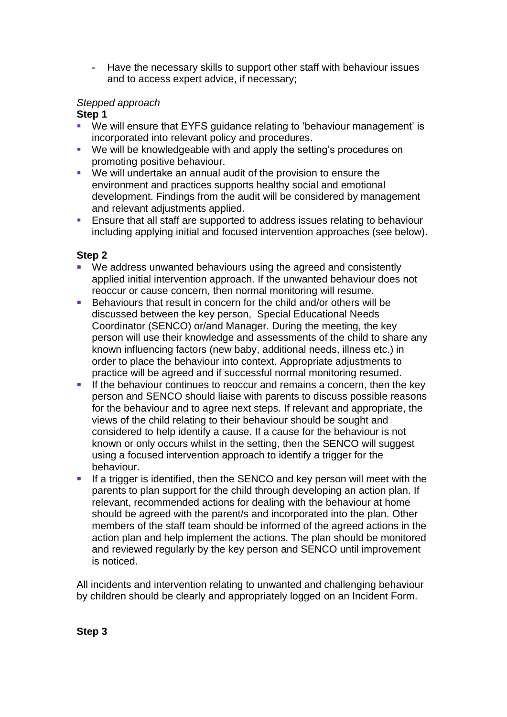**-** Have the necessary skills to support other staff with behaviour issues and to access expert advice, if necessary;

# *Stepped approach*

## **Step 1**

- We will ensure that EYFS quidance relating to 'behaviour management' is incorporated into relevant policy and procedures.
- We will be knowledgeable with and apply the setting's procedures on promoting positive behaviour.
- We will undertake an annual audit of the provision to ensure the environment and practices supports healthy social and emotional development. Findings from the audit will be considered by management and relevant adjustments applied.
- Ensure that all staff are supported to address issues relating to behaviour including applying initial and focused intervention approaches (see below).

#### **Step 2**

- We address unwanted behaviours using the agreed and consistently applied initial intervention approach. If the unwanted behaviour does not reoccur or cause concern, then normal monitoring will resume.
- Behaviours that result in concern for the child and/or others will be discussed between the key person, Special Educational Needs Coordinator (SENCO) or/and Manager. During the meeting, the key person will use their knowledge and assessments of the child to share any known influencing factors (new baby, additional needs, illness etc.) in order to place the behaviour into context. Appropriate adjustments to practice will be agreed and if successful normal monitoring resumed.
- **EXECT** If the behaviour continues to reoccur and remains a concern, then the key person and SENCO should liaise with parents to discuss possible reasons for the behaviour and to agree next steps. If relevant and appropriate, the views of the child relating to their behaviour should be sought and considered to help identify a cause. If a cause for the behaviour is not known or only occurs whilst in the setting, then the SENCO will suggest using a focused intervention approach to identify a trigger for the behaviour.
- **.** If a trigger is identified, then the SENCO and key person will meet with the parents to plan support for the child through developing an action plan. If relevant, recommended actions for dealing with the behaviour at home should be agreed with the parent/s and incorporated into the plan. Other members of the staff team should be informed of the agreed actions in the action plan and help implement the actions. The plan should be monitored and reviewed regularly by the key person and SENCO until improvement is noticed.

All incidents and intervention relating to unwanted and challenging behaviour by children should be clearly and appropriately logged on an Incident Form.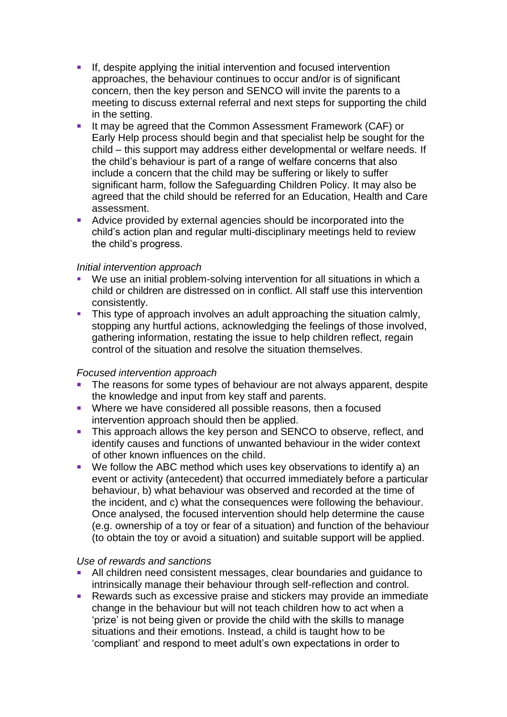- **EXECT:** If, despite applying the initial intervention and focused intervention approaches, the behaviour continues to occur and/or is of significant concern, then the key person and SENCO will invite the parents to a meeting to discuss external referral and next steps for supporting the child in the setting.
- It may be agreed that the Common Assessment Framework (CAF) or Early Help process should begin and that specialist help be sought for the child – this support may address either developmental or welfare needs. If the child's behaviour is part of a range of welfare concerns that also include a concern that the child may be suffering or likely to suffer significant harm, follow the Safeguarding Children Policy. It may also be agreed that the child should be referred for an Education, Health and Care assessment.
- Advice provided by external agencies should be incorporated into the child's action plan and regular multi-disciplinary meetings held to review the child's progress.

#### *Initial intervention approach*

- We use an initial problem-solving intervention for all situations in which a child or children are distressed on in conflict. All staff use this intervention consistently.
- **•** This type of approach involves an adult approaching the situation calmly, stopping any hurtful actions, acknowledging the feelings of those involved, gathering information, restating the issue to help children reflect, regain control of the situation and resolve the situation themselves.

#### *Focused intervention approach*

- **The reasons for some types of behaviour are not always apparent, despite** the knowledge and input from key staff and parents.
- Where we have considered all possible reasons, then a focused intervention approach should then be applied.
- **.** This approach allows the key person and SENCO to observe, reflect, and identify causes and functions of unwanted behaviour in the wider context of other known influences on the child.
- We follow the ABC method which uses key observations to identify a) an event or activity (antecedent) that occurred immediately before a particular behaviour, b) what behaviour was observed and recorded at the time of the incident, and c) what the consequences were following the behaviour. Once analysed, the focused intervention should help determine the cause (e.g. ownership of a toy or fear of a situation) and function of the behaviour (to obtain the toy or avoid a situation) and suitable support will be applied.

#### *Use of rewards and sanctions*

- All children need consistent messages, clear boundaries and guidance to intrinsically manage their behaviour through self-reflection and control.
- Rewards such as excessive praise and stickers may provide an immediate change in the behaviour but will not teach children how to act when a 'prize' is not being given or provide the child with the skills to manage situations and their emotions. Instead, a child is taught how to be 'compliant' and respond to meet adult's own expectations in order to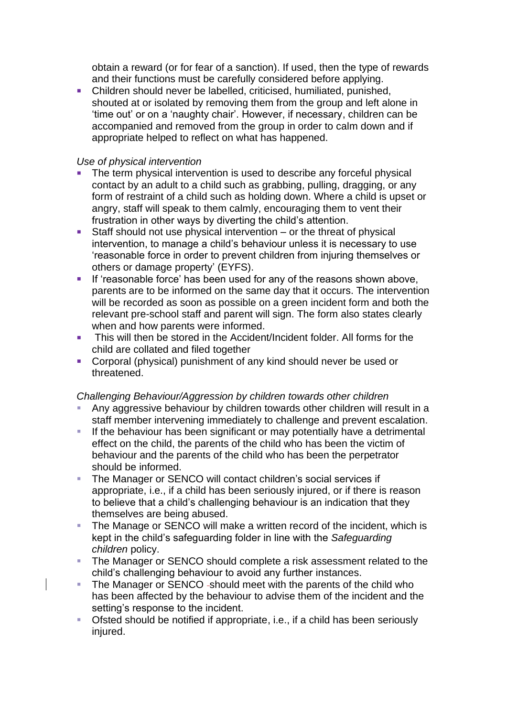obtain a reward (or for fear of a sanction). If used, then the type of rewards and their functions must be carefully considered before applying.

■ Children should never be labelled, criticised, humiliated, punished, shouted at or isolated by removing them from the group and left alone in 'time out' or on a 'naughty chair'. However, if necessary, children can be accompanied and removed from the group in order to calm down and if appropriate helped to reflect on what has happened.

## *Use of physical intervention*

- The term physical intervention is used to describe any forceful physical contact by an adult to a child such as grabbing, pulling, dragging, or any form of restraint of a child such as holding down. Where a child is upset or angry, staff will speak to them calmly, encouraging them to vent their frustration in other ways by diverting the child's attention.
- Staff should not use physical intervention or the threat of physical intervention, to manage a child's behaviour unless it is necessary to use 'reasonable force in order to prevent children from injuring themselves or others or damage property' (EYFS).
- **EXECT** If 'reasonable force' has been used for any of the reasons shown above, parents are to be informed on the same day that it occurs. The intervention will be recorded as soon as possible on a green incident form and both the relevant pre-school staff and parent will sign. The form also states clearly when and how parents were informed.
- **•** This will then be stored in the Accident/Incident folder. All forms for the child are collated and filed together
- Corporal (physical) punishment of any kind should never be used or threatened.

#### *Challenging Behaviour/Aggression by children towards other children*

- Any aggressive behaviour by children towards other children will result in a staff member intervening immediately to challenge and prevent escalation.
- **EXT** If the behaviour has been significant or may potentially have a detrimental effect on the child, the parents of the child who has been the victim of behaviour and the parents of the child who has been the perpetrator should be informed.
- The Manager or SENCO will contact children's social services if appropriate, i.e., if a child has been seriously injured, or if there is reason to believe that a child's challenging behaviour is an indication that they themselves are being abused.
- The Manage or SENCO will make a written record of the incident, which is kept in the child's safeguarding folder in line with the *Safeguarding children* policy.
- The Manager or SENCO should complete a risk assessment related to the child's challenging behaviour to avoid any further instances.
- The Manager or SENCO -should meet with the parents of the child who has been affected by the behaviour to advise them of the incident and the setting's response to the incident.
- Ofsted should be notified if appropriate, i.e., if a child has been seriously injured.